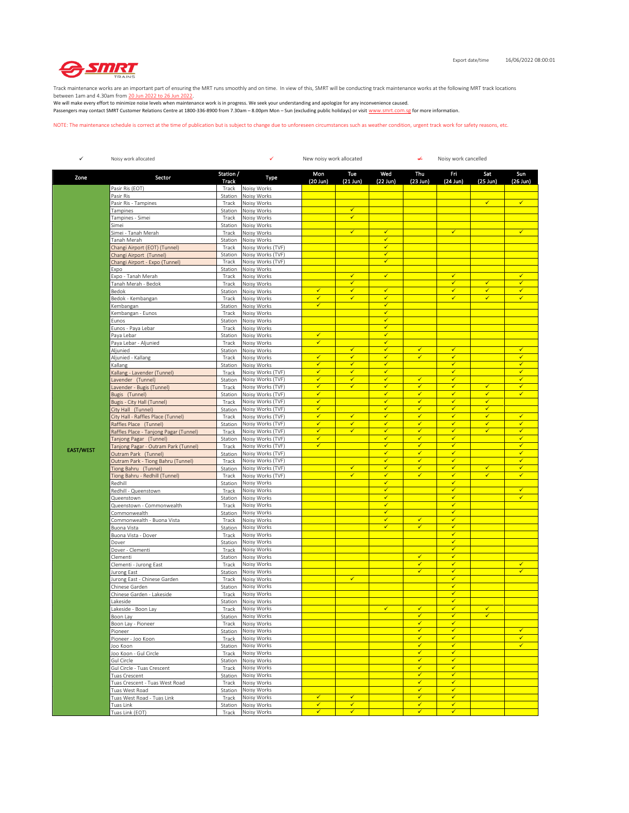

Track maintenance works are an important part of ensuring the MRT runs smoothly and on time. In view of this, SMRT will be conducting track maintenance works at the following MRT track locations

between 1am and 4.30am from <u>20 Jun 2022 to 26 Jun 2022</u>.<br>We will make every effort to minimize noise levels when maintenance work is in progress. We seek your understanding and apologize for any inconvenience caused. Passengers may contact SMRT Customer Relations Centre at 1800-336-8900 from 7.30am – 8.00pm Mon – Sun (excluding public holidays) or visit www.smrt.com.sg for more information.

NOTE: The maintenance schedule is correct at the time of publication but is subject to change due to unforeseen circumstances such as weather condition, urgent track work for safety reasons, etc.

| $\checkmark$     | Noisy work allocated                                                                                                                                                                                                                                                                                                                                                                         |                    | ✓<br>New noisy work allocated<br>↵<br>Noisy work cancelled |                         |                              |                                         |                              |                              |                              |                                         |
|------------------|----------------------------------------------------------------------------------------------------------------------------------------------------------------------------------------------------------------------------------------------------------------------------------------------------------------------------------------------------------------------------------------------|--------------------|------------------------------------------------------------|-------------------------|------------------------------|-----------------------------------------|------------------------------|------------------------------|------------------------------|-----------------------------------------|
| Zone             | Sector                                                                                                                                                                                                                                                                                                                                                                                       | Station /<br>Track | Type                                                       | Mon<br>(20 Jun)         | Tue<br>$(21$ Jun)            | Wed<br>$(22$ Jun)                       | Thu<br>$(23$ Jun)            | Fri<br>$(24$ Jun)            | Sat<br>$(25$ Jun)            | Sun<br>$(26$ Jun)                       |
|                  | Pasir Ris (EOT)                                                                                                                                                                                                                                                                                                                                                                              | Track              | Noisy Works                                                |                         |                              |                                         |                              |                              |                              |                                         |
|                  | Pasir Ris                                                                                                                                                                                                                                                                                                                                                                                    | Station            | Noisy Works                                                |                         |                              |                                         |                              |                              |                              |                                         |
|                  | Pasir Ris - Tampines                                                                                                                                                                                                                                                                                                                                                                         | Track              | Noisy Works                                                |                         |                              |                                         |                              |                              | $\checkmark$                 | $\checkmark$                            |
|                  | Tampines                                                                                                                                                                                                                                                                                                                                                                                     | Station            | Noisy Works                                                |                         | $\checkmark$                 |                                         |                              |                              |                              |                                         |
|                  | Tampines - Simei                                                                                                                                                                                                                                                                                                                                                                             | Track              | Noisy Works                                                |                         | $\checkmark$                 |                                         |                              |                              |                              |                                         |
|                  | Simei                                                                                                                                                                                                                                                                                                                                                                                        | Station            | Noisy Works                                                |                         | $\checkmark$                 | $\checkmark$                            |                              | $\checkmark$                 |                              | $\checkmark$                            |
|                  | Simei - Tanah Merah<br>Tanah Merah                                                                                                                                                                                                                                                                                                                                                           | Track<br>Station   | Noisy Works<br>Noisy Works                                 |                         |                              | $\checkmark$                            |                              |                              |                              |                                         |
|                  | Changi Airport (EOT) (Tunnel)                                                                                                                                                                                                                                                                                                                                                                | Track              | Noisy Works (TVF)                                          |                         |                              | $\checkmark$                            |                              |                              |                              |                                         |
|                  | Changi Airport (Tunnel)                                                                                                                                                                                                                                                                                                                                                                      | Station            | Noisy Works (TVF)                                          |                         |                              | $\checkmark$                            |                              |                              |                              |                                         |
|                  | Changi Airport - Expo (Tunnel)                                                                                                                                                                                                                                                                                                                                                               | Track              | Noisy Works (TVF)                                          |                         |                              | $\checkmark$                            |                              |                              |                              |                                         |
|                  | Expo                                                                                                                                                                                                                                                                                                                                                                                         | Station            | Noisy Works                                                |                         |                              |                                         |                              |                              |                              |                                         |
|                  | Expo - Tanah Merah                                                                                                                                                                                                                                                                                                                                                                           | Track              | Noisy Works                                                |                         | ✔                            | $\checkmark$                            |                              | ✔                            |                              | ✓                                       |
|                  | Tanah Merah - Bedok                                                                                                                                                                                                                                                                                                                                                                          | Track              | Noisy Works                                                | $\checkmark$            | $\checkmark$<br>$\checkmark$ | $\checkmark$                            |                              | $\checkmark$<br>$\checkmark$ | $\checkmark$<br>$\checkmark$ | $\overline{\checkmark}$<br>$\checkmark$ |
|                  | Bedok                                                                                                                                                                                                                                                                                                                                                                                        | Station            | Noisy Works                                                | ✓                       | $\checkmark$                 | $\checkmark$                            |                              | ✓                            | $\checkmark$                 | $\checkmark$                            |
|                  | Bedok - Kembangan<br><embangan< td=""><td>Track<br/>Station</td><td>Noisy Works<br/>Noisy Works</td><td><math>\checkmark</math></td><td></td><td>✓</td><td></td><td></td><td></td><td></td></embangan<>                                                                                                                                                                                      | Track<br>Station   | Noisy Works<br>Noisy Works                                 | $\checkmark$            |                              | ✓                                       |                              |                              |                              |                                         |
|                  | Kembangan - Eunos                                                                                                                                                                                                                                                                                                                                                                            | Track              | Noisy Works                                                |                         |                              | $\checkmark$                            |                              |                              |                              |                                         |
|                  | Eunos                                                                                                                                                                                                                                                                                                                                                                                        | Station            | Noisy Works                                                |                         |                              | $\overline{\checkmark}$                 |                              |                              |                              |                                         |
|                  | Eunos - Paya Lebar                                                                                                                                                                                                                                                                                                                                                                           | Track              | Noisy Works                                                |                         |                              | $\checkmark$                            |                              |                              |                              |                                         |
|                  | Paya Lebar                                                                                                                                                                                                                                                                                                                                                                                   | Station            | Noisy Works                                                | $\checkmark$            |                              | $\checkmark$                            |                              |                              |                              |                                         |
|                  | Paya Lebar - Aljunied                                                                                                                                                                                                                                                                                                                                                                        | Track              | Noisy Works                                                | ✓                       |                              | ✓                                       |                              |                              |                              |                                         |
|                  | Aljunied                                                                                                                                                                                                                                                                                                                                                                                     | Station            | Noisy Works                                                |                         | $\checkmark$                 | $\checkmark$                            | $\checkmark$                 | $\checkmark$                 |                              | ✓                                       |
|                  | Aljunied - Kallang                                                                                                                                                                                                                                                                                                                                                                           | Track              | Noisy Works                                                | $\checkmark$            | $\checkmark$                 | $\overline{\checkmark}$                 | $\checkmark$                 | $\checkmark$                 |                              | $\overline{\checkmark}$                 |
|                  | Kallang                                                                                                                                                                                                                                                                                                                                                                                      | Station            | Noisy Works                                                | ✓                       | ✓                            | $\checkmark$                            |                              | $\checkmark$                 |                              | $\checkmark$                            |
|                  | <allang (tunnel)<="" -="" lavender="" td=""><td>Track</td><td>Noisy Works (TVF)</td><td>✓<br/>✓</td><td><math>\checkmark</math><br/><math display="inline">\checkmark</math></td><td><math>\checkmark</math><br/>✓</td><td><math display="inline">\checkmark</math></td><td><math>\checkmark</math><br/><math>\checkmark</math></td><td></td><td><math>\checkmark</math><br/>✓</td></allang> | Track              | Noisy Works (TVF)                                          | ✓<br>✓                  | $\checkmark$<br>$\checkmark$ | $\checkmark$<br>✓                       | $\checkmark$                 | $\checkmark$<br>$\checkmark$ |                              | $\checkmark$<br>✓                       |
|                  | avender (Tunnel)                                                                                                                                                                                                                                                                                                                                                                             | Station            | Noisy Works (TVF)                                          | ✓                       | ✓                            | $\checkmark$                            | $\checkmark$                 | ✓                            | ✓                            | $\checkmark$                            |
|                  | avender - Bugis (Tunnel)<br>Bugis (Tunnel)                                                                                                                                                                                                                                                                                                                                                   | Track<br>Station   | Noisy Works (TVF)<br>Noisy Works (TVF)                     | $\overline{\checkmark}$ |                              | $\overline{\checkmark}$                 | $\checkmark$                 | ✓                            | $\checkmark$                 | $\checkmark$                            |
|                  | Bugis - City Hall (Tunnel)                                                                                                                                                                                                                                                                                                                                                                   | Track              | Noisy Works (TVF)                                          | ✓                       |                              | ✓                                       | ✓                            | ✓                            | $\checkmark$                 |                                         |
|                  | City Hall (Tunnel)                                                                                                                                                                                                                                                                                                                                                                           | Station            | Noisy Works (TVF)                                          | ✓                       |                              | $\checkmark$                            | $\checkmark$                 | ✓                            | $\checkmark$                 |                                         |
|                  | City Hall - Raffles Place (Tunnel)                                                                                                                                                                                                                                                                                                                                                           | Track              | Noisy Works (TVF)                                          | ✓                       | $\checkmark$                 | ✓                                       | $\checkmark$                 | √                            | $\checkmark$                 | ✓                                       |
|                  | Raffles Place (Tunnel)                                                                                                                                                                                                                                                                                                                                                                       | Station            | Noisy Works (TVF)                                          | $\checkmark$            | $\checkmark$                 | $\checkmark$                            | $\checkmark$                 | ✓                            | $\checkmark$                 | ✓                                       |
|                  | Raffles Place - Tanjong Pagar (Tunnel)                                                                                                                                                                                                                                                                                                                                                       | Track              | Noisy Works (TVF)                                          | ✓                       | ✓                            | $\overline{\checkmark}$                 | $\checkmark$                 | $\checkmark$                 | $\checkmark$                 | $\overline{\checkmark}$                 |
|                  | Tanjong Pagar (Tunnel)                                                                                                                                                                                                                                                                                                                                                                       | Station            | Noisy Works (TVF)                                          | ✓                       |                              | $\checkmark$                            | ✓                            | ✓                            |                              | $\checkmark$                            |
| <b>EAST/WEST</b> | Tanjong Pagar - Outram Park (Tunnel)                                                                                                                                                                                                                                                                                                                                                         | Track              | Noisy Works (TVF)                                          | ✓                       |                              | $\checkmark$                            | $\checkmark$                 | ✓                            |                              | $\checkmark$                            |
|                  | Outram Park (Tunnel)                                                                                                                                                                                                                                                                                                                                                                         | Station            | Noisy Works (TVF)                                          |                         |                              | $\checkmark$                            | $\checkmark$                 | ✓                            |                              | $\checkmark$                            |
|                  | Outram Park - Tiong Bahru (Tunnel)                                                                                                                                                                                                                                                                                                                                                           | Track              | Noisy Works (TVF)                                          |                         | $\checkmark$                 | $\checkmark$<br>$\overline{\checkmark}$ | $\checkmark$<br>$\checkmark$ | √<br>$\checkmark$            | $\checkmark$                 | ✓<br>$\overline{\checkmark}$            |
|                  | Tiong Bahru (Tunnel)<br>Tiong Bahru - Redhill (Tunnel)                                                                                                                                                                                                                                                                                                                                       | Station<br>Track   | Noisy Works (TVF)<br>Noisy Works (TVF)                     |                         | ✓                            | $\checkmark$                            | ✓                            | ✓                            | $\checkmark$                 | $\checkmark$                            |
|                  | Redhill                                                                                                                                                                                                                                                                                                                                                                                      | Station            | Noisy Works                                                |                         |                              | $\checkmark$                            |                              | $\checkmark$                 |                              |                                         |
|                  | Redhill - Queenstown                                                                                                                                                                                                                                                                                                                                                                         | Track              | Noisy Works                                                |                         |                              | $\checkmark$                            |                              | ✓                            |                              | $\checkmark$                            |
|                  | Queenstown                                                                                                                                                                                                                                                                                                                                                                                   | Station            | Noisy Works                                                |                         |                              | $\checkmark$                            |                              | ✓                            |                              | ✓                                       |
|                  | Queenstown - Commonwealth                                                                                                                                                                                                                                                                                                                                                                    | Track              | Noisy Works                                                |                         |                              | $\overline{\checkmark}$                 |                              | $\checkmark$                 |                              |                                         |
|                  | Commonwealth                                                                                                                                                                                                                                                                                                                                                                                 | Station            | Noisy Works                                                |                         |                              | $\checkmark$                            |                              | $\checkmark$                 |                              |                                         |
|                  | Commonwealth - Buona Vista                                                                                                                                                                                                                                                                                                                                                                   | Track              | Noisy Works                                                |                         |                              | $\checkmark$                            | $\checkmark$                 | $\checkmark$                 |                              |                                         |
|                  | Buona Vista                                                                                                                                                                                                                                                                                                                                                                                  | Station            | Noisy Works                                                |                         |                              | $\checkmark$                            | $\checkmark$                 | $\checkmark$                 |                              |                                         |
|                  | Buona Vista - Dover                                                                                                                                                                                                                                                                                                                                                                          | Track              | Noisy Works                                                |                         |                              |                                         |                              | √<br>$\checkmark$            |                              |                                         |
|                  | Dover<br>Dover - Clementi                                                                                                                                                                                                                                                                                                                                                                    | Station<br>Track   | Noisy Works<br>Noisy Works                                 |                         |                              |                                         |                              | ✓                            |                              |                                         |
|                  | Clementi                                                                                                                                                                                                                                                                                                                                                                                     | Station            | Noisy Works                                                |                         |                              |                                         | $\checkmark$                 | $\checkmark$                 |                              |                                         |
|                  | Clementi - Jurong East                                                                                                                                                                                                                                                                                                                                                                       | Track              | Noisy Works                                                |                         |                              |                                         | $\checkmark$                 | ✓                            |                              | $\checkmark$                            |
|                  | Jurong East                                                                                                                                                                                                                                                                                                                                                                                  | Station            | Noisy Works                                                |                         |                              |                                         | ✓                            | √                            |                              | $\checkmark$                            |
|                  | Jurong East - Chinese Garden                                                                                                                                                                                                                                                                                                                                                                 | Track              | Noisy Works                                                |                         | $\checkmark$                 |                                         |                              | $\checkmark$                 |                              |                                         |
|                  | Chinese Garden                                                                                                                                                                                                                                                                                                                                                                               | Station            | Noisy Works                                                |                         |                              |                                         |                              | ✓                            |                              |                                         |
|                  | Chinese Garden - Lakeside                                                                                                                                                                                                                                                                                                                                                                    | Track              | Noisy Works                                                |                         |                              |                                         |                              | $\checkmark$                 |                              |                                         |
|                  | Lakeside                                                                                                                                                                                                                                                                                                                                                                                     | Station            | Noisy Works                                                |                         |                              |                                         |                              | ✓                            |                              |                                         |
|                  | Lakeside - Boon Lay                                                                                                                                                                                                                                                                                                                                                                          | Track              | Noisy Works                                                |                         |                              | $\checkmark$                            | ✓                            | ✓                            | ✓                            |                                         |
|                  | Boon Lay                                                                                                                                                                                                                                                                                                                                                                                     | Station            | Noisy Works<br>Noisy Works                                 |                         |                              |                                         | $\checkmark$                 | ✓                            |                              |                                         |
|                  | Boon Lay - Pioneer<br>Pioneer                                                                                                                                                                                                                                                                                                                                                                | Track<br>Station   | Noisy Works                                                |                         |                              |                                         | $\checkmark$                 | ✓                            |                              | $\checkmark$                            |
|                  | Pioneer - Joo Koon                                                                                                                                                                                                                                                                                                                                                                           | Track              | Noisy Works                                                |                         |                              |                                         | $\checkmark$                 | $\checkmark$                 |                              | $\checkmark$                            |
|                  | Joo Koon                                                                                                                                                                                                                                                                                                                                                                                     | Station            | Noisy Works                                                |                         |                              |                                         | $\checkmark$                 | $\checkmark$                 |                              | $\checkmark$                            |
|                  | Joo Koon - Gul Circle                                                                                                                                                                                                                                                                                                                                                                        | Track              | Noisy Works                                                |                         |                              |                                         | $\checkmark$                 | $\checkmark$                 |                              |                                         |
|                  | Gul Circle                                                                                                                                                                                                                                                                                                                                                                                   | Station            | Noisy Works                                                |                         |                              |                                         | ✓                            | ✓                            |                              |                                         |
|                  | Gul Circle - Tuas Crescent                                                                                                                                                                                                                                                                                                                                                                   | Track              | Noisy Works                                                |                         |                              |                                         | $\checkmark$                 | ✓                            |                              |                                         |
|                  | Tuas Crescent                                                                                                                                                                                                                                                                                                                                                                                | Station            | Noisy Works                                                |                         |                              |                                         | $\checkmark$                 | $\checkmark$                 |                              |                                         |
|                  | Tuas Crescent - Tuas West Road                                                                                                                                                                                                                                                                                                                                                               | Track              | Noisy Works                                                |                         |                              |                                         | $\checkmark$<br>$\checkmark$ | $\checkmark$<br>$\checkmark$ |                              |                                         |
|                  | Tuas West Road                                                                                                                                                                                                                                                                                                                                                                               | Station            | Noisy Works                                                | ✓                       | $\checkmark$                 |                                         | $\checkmark$                 | $\checkmark$                 |                              |                                         |
|                  | Tuas West Road - Tuas Link<br>Tuas Link                                                                                                                                                                                                                                                                                                                                                      | Track<br>Station   | Noisy Works<br>Noisy Works                                 | ✓                       | $\checkmark$                 |                                         | $\checkmark$                 | $\checkmark$                 |                              |                                         |
|                  | Tuas Link (EOT)                                                                                                                                                                                                                                                                                                                                                                              | Track              | Noisy Works                                                | $\checkmark$            | $\checkmark$                 |                                         | $\checkmark$                 | $\checkmark$                 |                              |                                         |